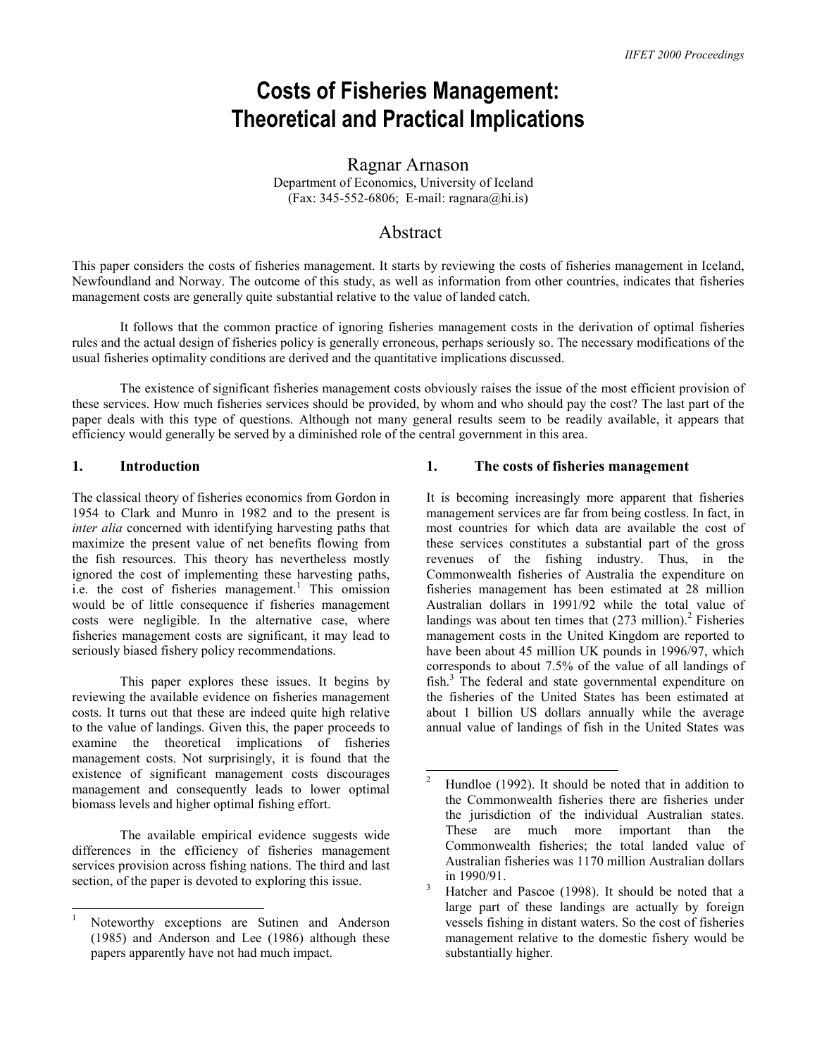# **Costs of Fisheries Management: Theoretical and Practical Implications**

Ragnar Arnason Department of Economics, University of Iceland  $(Fax: 345-552-6806; E-mail:  $\text{ragnara}(\hat{\omega}h\hat{\theta})$$ 

## Abstract

This paper considers the costs of fisheries management. It starts by reviewing the costs of fisheries management in Iceland, Newfoundland and Norway. The outcome of this study, as well as information from other countries, indicates that fisheries management costs are generally quite substantial relative to the value of landed catch.

It follows that the common practice of ignoring fisheries management costs in the derivation of optimal fisheries rules and the actual design of fisheries policy is generally erroneous, perhaps seriously so. The necessary modifications of the usual fisheries optimality conditions are derived and the quantitative implications discussed.

The existence of significant fisheries management costs obviously raises the issue of the most efficient provision of these services. How much fisheries services should be provided, by whom and who should pay the cost? The last part of the paper deals with this type of questions. Although not many general results seem to be readily available, it appears that efficiency would generally be served by a diminished role of the central government in this area.

## **1. Introduction**

The classical theory of fisheries economics from Gordon in 1954 to Clark and Munro in 1982 and to the present is *inter alia* concerned with identifying harvesting paths that maximize the present value of net benefits flowing from the fish resources. This theory has nevertheless mostly ignored the cost of implementing these harvesting paths, i.e. the cost of fisheries management.<sup>1</sup> This omission would be of little consequence if fisheries management costs were negligible. In the alternative case, where fisheries management costs are significant, it may lead to seriously biased fishery policy recommendations.

This paper explores these issues. It begins by reviewing the available evidence on fisheries management costs. It turns out that these are indeed quite high relative to the value of landings. Given this, the paper proceeds to examine the theoretical implications of fisheries management costs. Not surprisingly, it is found that the existence of significant management costs discourages management and consequently leads to lower optimal biomass levels and higher optimal fishing effort.

The available empirical evidence suggests wide differences in the efficiency of fisheries management services provision across fishing nations. The third and last section, of the paper is devoted to exploring this issue.

## **1. The costs of fisheries management**

It is becoming increasingly more apparent that fisheries management services are far from being costless. In fact, in most countries for which data are available the cost of these services constitutes a substantial part of the gross revenues of the fishing industry. Thus, in the Commonwealth fisheries of Australia the expenditure on fisheries management has been estimated at 28 million Australian dollars in 1991/92 while the total value of landings was about ten times that  $(273 \text{ million})$ .<sup>2</sup> Fisheries management costs in the United Kingdom are reported to have been about 45 million UK pounds in 1996/97, which corresponds to about 7.5% of the value of all landings of fish.<sup>3</sup> The federal and state governmental expenditure on the fisheries of the United States has been estimated at about 1 billion US dollars annually while the average annual value of landings of fish in the United States was

 1 Noteworthy exceptions are Sutinen and Anderson (1985) and Anderson and Lee (1986) although these papers apparently have not had much impact.

<sup>&</sup>lt;sup>2</sup> Hundloe (1992). It should be noted that in addition to the Commonwealth fisheries there are fisheries under the jurisdiction of the individual Australian states. These are much more important than the Commonwealth fisheries; the total landed value of Australian fisheries was 1170 million Australian dollars in  $1990/91$ .

Hatcher and Pascoe (1998). It should be noted that a large part of these landings are actually by foreign vessels fishing in distant waters. So the cost of fisheries management relative to the domestic fishery would be substantially higher.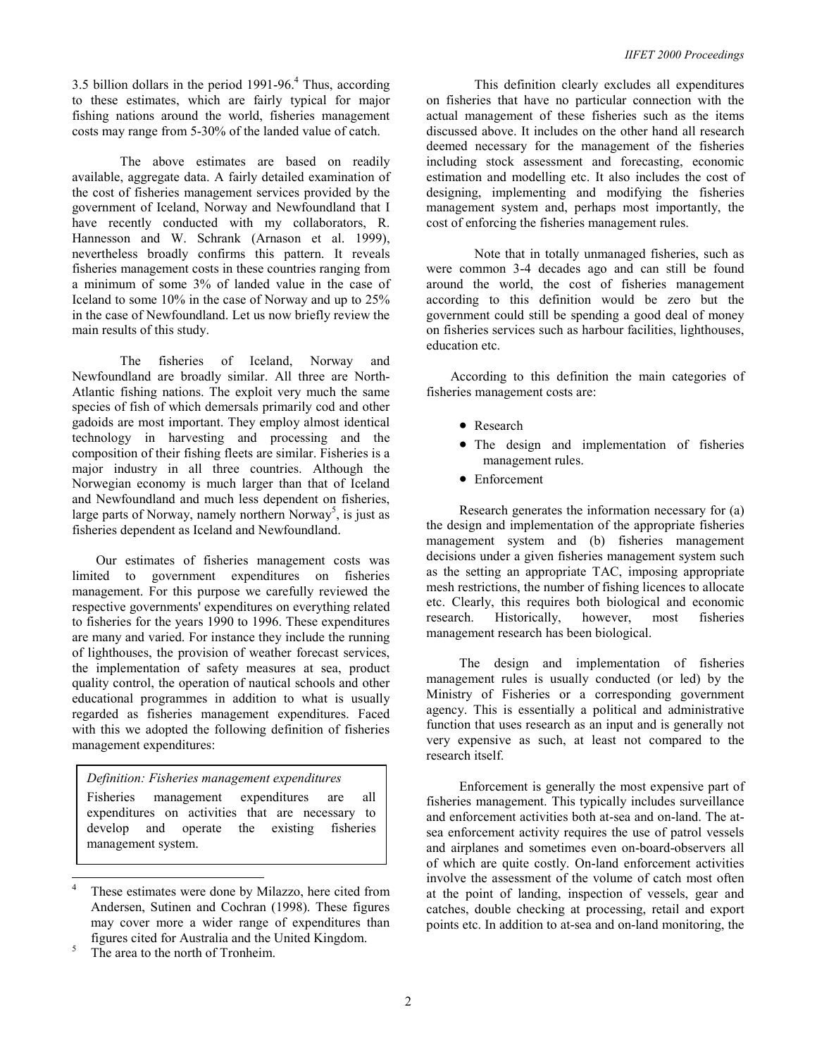3.5 billion dollars in the period  $1991-96<sup>4</sup>$ . Thus, according to these estimates, which are fairly typical for major fishing nations around the world, fisheries management costs may range from 5-30% of the landed value of catch.

The above estimates are based on readily available, aggregate data. A fairly detailed examination of the cost of fisheries management services provided by the government of Iceland, Norway and Newfoundland that I have recently conducted with my collaborators, R. Hannesson and W. Schrank (Arnason et al. 1999), nevertheless broadly confirms this pattern. It reveals fisheries management costs in these countries ranging from a minimum of some 3% of landed value in the case of Iceland to some 10% in the case of Norway and up to 25% in the case of Newfoundland. Let us now briefly review the main results of this study.

 The fisheries of Iceland, Norway and Newfoundland are broadly similar. All three are North-Atlantic fishing nations. The exploit very much the same species of fish of which demersals primarily cod and other gadoids are most important. They employ almost identical technology in harvesting and processing and the composition of their fishing fleets are similar. Fisheries is a major industry in all three countries. Although the Norwegian economy is much larger than that of Iceland and Newfoundland and much less dependent on fisheries, large parts of Norway, namely northern Norway<sup>5</sup>, is just as fisheries dependent as Iceland and Newfoundland.

Our estimates of fisheries management costs was limited to government expenditures on fisheries management. For this purpose we carefully reviewed the respective governments' expenditures on everything related to fisheries for the years 1990 to 1996. These expenditures are many and varied. For instance they include the running of lighthouses, the provision of weather forecast services, the implementation of safety measures at sea, product quality control, the operation of nautical schools and other educational programmes in addition to what is usually regarded as fisheries management expenditures. Faced with this we adopted the following definition of fisheries management expenditures:

## *Definition: Fisheries management expenditures*

Fisheries management expenditures are all expenditures on activities that are necessary to develop and operate the existing fisheries management system.

The area to the north of Tronheim.

 $\overline{a}$ 

This definition clearly excludes all expenditures on fisheries that have no particular connection with the actual management of these fisheries such as the items discussed above. It includes on the other hand all research deemed necessary for the management of the fisheries including stock assessment and forecasting, economic estimation and modelling etc. It also includes the cost of designing, implementing and modifying the fisheries management system and, perhaps most importantly, the cost of enforcing the fisheries management rules.

 Note that in totally unmanaged fisheries, such as were common 3-4 decades ago and can still be found around the world, the cost of fisheries management according to this definition would be zero but the government could still be spending a good deal of money on fisheries services such as harbour facilities, lighthouses, education etc.

According to this definition the main categories of fisheries management costs are:

- Research
- The design and implementation of fisheries management rules.
- Enforcement

Research generates the information necessary for (a) the design and implementation of the appropriate fisheries management system and (b) fisheries management decisions under a given fisheries management system such as the setting an appropriate TAC, imposing appropriate mesh restrictions, the number of fishing licences to allocate etc. Clearly, this requires both biological and economic research. Historically, however, most fisheries management research has been biological.

The design and implementation of fisheries management rules is usually conducted (or led) by the Ministry of Fisheries or a corresponding government agency. This is essentially a political and administrative function that uses research as an input and is generally not very expensive as such, at least not compared to the research itself.

Enforcement is generally the most expensive part of fisheries management. This typically includes surveillance and enforcement activities both at-sea and on-land. The atsea enforcement activity requires the use of patrol vessels and airplanes and sometimes even on-board-observers all of which are quite costly. On-land enforcement activities involve the assessment of the volume of catch most often at the point of landing, inspection of vessels, gear and catches, double checking at processing, retail and export points etc. In addition to at-sea and on-land monitoring, the

<sup>4</sup> These estimates were done by Milazzo, here cited from Andersen, Sutinen and Cochran (1998). These figures may cover more a wider range of expenditures than figures cited for Australia and the United Kingdom. 5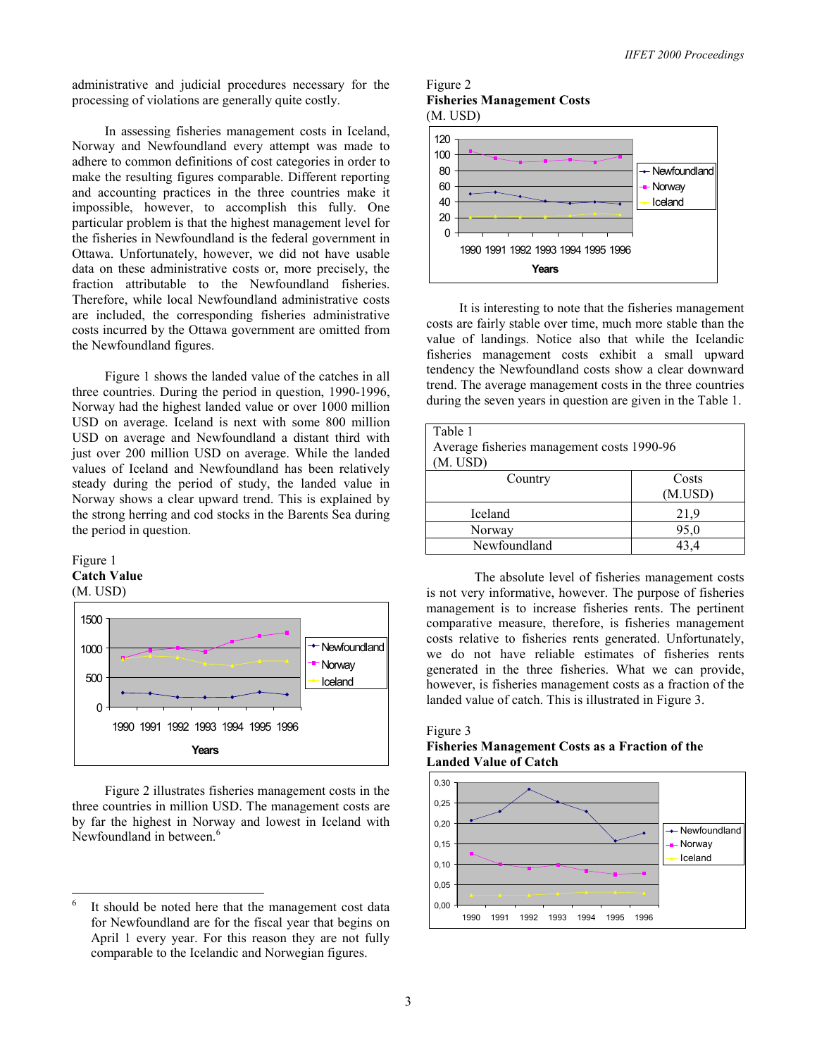administrative and judicial procedures necessary for the processing of violations are generally quite costly.

In assessing fisheries management costs in Iceland, Norway and Newfoundland every attempt was made to adhere to common definitions of cost categories in order to make the resulting figures comparable. Different reporting and accounting practices in the three countries make it impossible, however, to accomplish this fully. One particular problem is that the highest management level for the fisheries in Newfoundland is the federal government in Ottawa. Unfortunately, however, we did not have usable data on these administrative costs or, more precisely, the fraction attributable to the Newfoundland fisheries. Therefore, while local Newfoundland administrative costs are included, the corresponding fisheries administrative costs incurred by the Ottawa government are omitted from the Newfoundland figures.

Figure 1 shows the landed value of the catches in all three countries. During the period in question, 1990-1996, Norway had the highest landed value or over 1000 million USD on average. Iceland is next with some 800 million USD on average and Newfoundland a distant third with just over 200 million USD on average. While the landed values of Iceland and Newfoundland has been relatively steady during the period of study, the landed value in Norway shows a clear upward trend. This is explained by the strong herring and cod stocks in the Barents Sea during the period in question.





Figure 2 illustrates fisheries management costs in the three countries in million USD. The management costs are by far the highest in Norway and lowest in Iceland with Newfoundland in between.<sup>6</sup>





It is interesting to note that the fisheries management costs are fairly stable over time, much more stable than the value of landings. Notice also that while the Icelandic fisheries management costs exhibit a small upward tendency the Newfoundland costs show a clear downward trend. The average management costs in the three countries during the seven years in question are given in the Table 1.

| Table 1<br>Average fisheries management costs 1990-96<br>(M. USD) |                  |  |
|-------------------------------------------------------------------|------------------|--|
| Country                                                           | Costs<br>(M.USD) |  |
| Iceland                                                           | 21,9             |  |
| Norway                                                            | 95,0             |  |
| Newfoundland                                                      | 434              |  |

 The absolute level of fisheries management costs is not very informative, however. The purpose of fisheries management is to increase fisheries rents. The pertinent comparative measure, therefore, is fisheries management costs relative to fisheries rents generated. Unfortunately, we do not have reliable estimates of fisheries rents generated in the three fisheries. What we can provide, however, is fisheries management costs as a fraction of the landed value of catch. This is illustrated in Figure 3.

## Figure 3

## **Fisheries Management Costs as a Fraction of the Landed Value of Catch**



 $\frac{1}{6}$  It should be noted here that the management cost data for Newfoundland are for the fiscal year that begins on April 1 every year. For this reason they are not fully comparable to the Icelandic and Norwegian figures.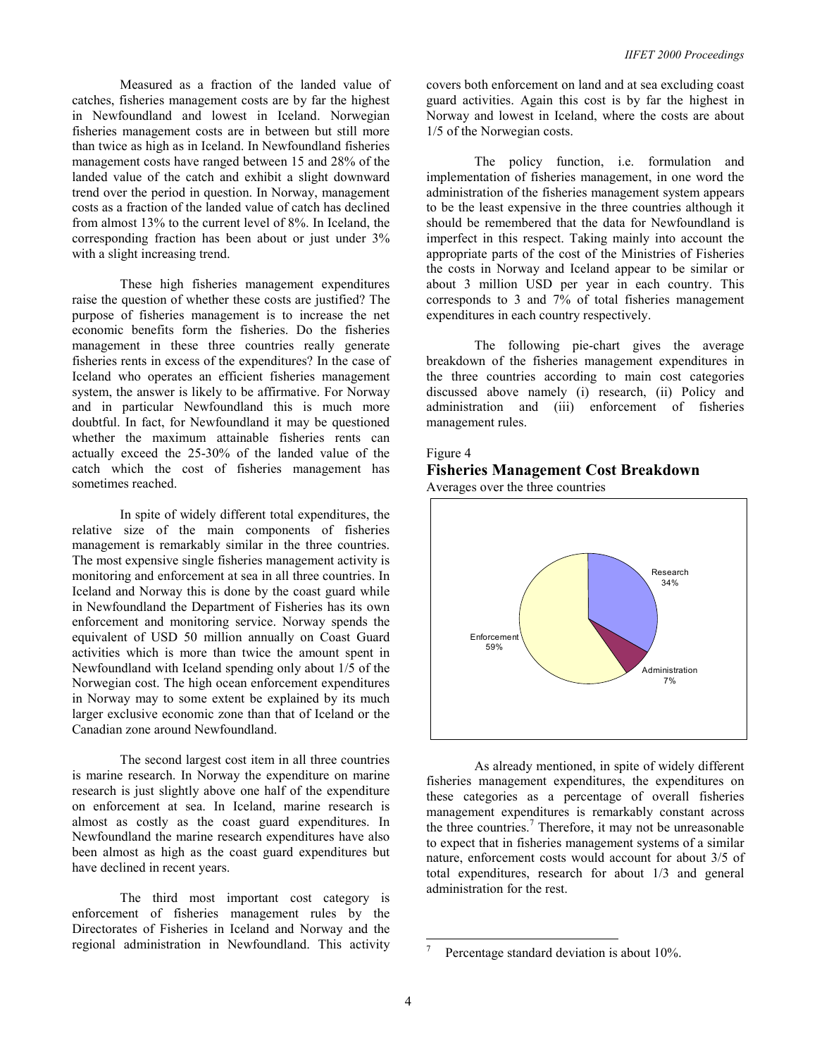Measured as a fraction of the landed value of catches, fisheries management costs are by far the highest in Newfoundland and lowest in Iceland. Norwegian fisheries management costs are in between but still more than twice as high as in Iceland. In Newfoundland fisheries management costs have ranged between 15 and 28% of the landed value of the catch and exhibit a slight downward trend over the period in question. In Norway, management costs as a fraction of the landed value of catch has declined from almost 13% to the current level of 8%. In Iceland, the corresponding fraction has been about or just under 3% with a slight increasing trend.

These high fisheries management expenditures raise the question of whether these costs are justified? The purpose of fisheries management is to increase the net economic benefits form the fisheries. Do the fisheries management in these three countries really generate fisheries rents in excess of the expenditures? In the case of Iceland who operates an efficient fisheries management system, the answer is likely to be affirmative. For Norway and in particular Newfoundland this is much more doubtful. In fact, for Newfoundland it may be questioned whether the maximum attainable fisheries rents can actually exceed the 25-30% of the landed value of the catch which the cost of fisheries management has sometimes reached.

 In spite of widely different total expenditures, the relative size of the main components of fisheries management is remarkably similar in the three countries. The most expensive single fisheries management activity is monitoring and enforcement at sea in all three countries. In Iceland and Norway this is done by the coast guard while in Newfoundland the Department of Fisheries has its own enforcement and monitoring service. Norway spends the equivalent of USD 50 million annually on Coast Guard activities which is more than twice the amount spent in Newfoundland with Iceland spending only about 1/5 of the Norwegian cost. The high ocean enforcement expenditures in Norway may to some extent be explained by its much larger exclusive economic zone than that of Iceland or the Canadian zone around Newfoundland.

 The second largest cost item in all three countries is marine research. In Norway the expenditure on marine research is just slightly above one half of the expenditure on enforcement at sea. In Iceland, marine research is almost as costly as the coast guard expenditures. In Newfoundland the marine research expenditures have also been almost as high as the coast guard expenditures but have declined in recent years.

 The third most important cost category is enforcement of fisheries management rules by the Directorates of Fisheries in Iceland and Norway and the regional administration in Newfoundland. This activity covers both enforcement on land and at sea excluding coast guard activities. Again this cost is by far the highest in Norway and lowest in Iceland, where the costs are about 1/5 of the Norwegian costs.

 The policy function, i.e. formulation and implementation of fisheries management, in one word the administration of the fisheries management system appears to be the least expensive in the three countries although it should be remembered that the data for Newfoundland is imperfect in this respect. Taking mainly into account the appropriate parts of the cost of the Ministries of Fisheries the costs in Norway and Iceland appear to be similar or about 3 million USD per year in each country. This corresponds to 3 and 7% of total fisheries management expenditures in each country respectively.

 The following pie-chart gives the average breakdown of the fisheries management expenditures in the three countries according to main cost categories discussed above namely (i) research, (ii) Policy and administration and (iii) enforcement of fisheries management rules.

#### Figure 4

#### **Fisheries Management Cost Breakdown**  Averages over the three countries



As already mentioned, in spite of widely different fisheries management expenditures, the expenditures on these categories as a percentage of overall fisheries management expenditures is remarkably constant across the three countries.<sup>7</sup> Therefore, it may not be unreasonable to expect that in fisheries management systems of a similar nature, enforcement costs would account for about 3/5 of total expenditures, research for about 1/3 and general administration for the rest.

l

<sup>7</sup> Percentage standard deviation is about 10%.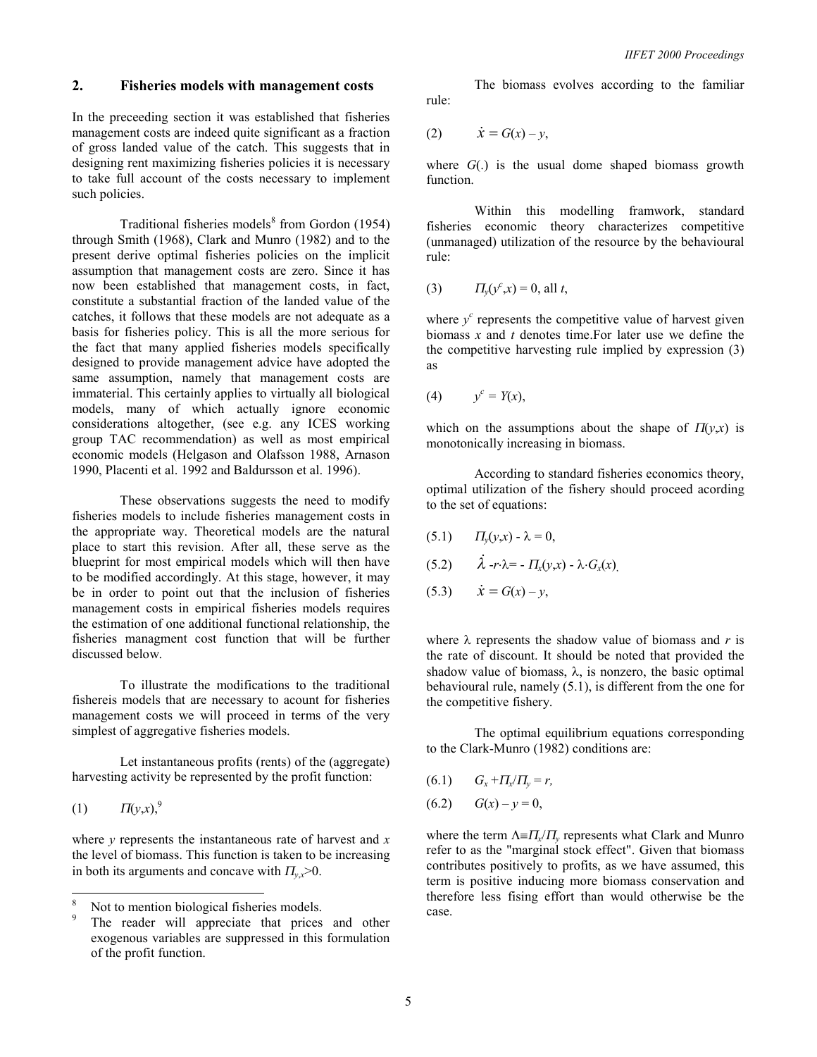#### **2. Fisheries models with management costs**

In the preceeding section it was established that fisheries management costs are indeed quite significant as a fraction of gross landed value of the catch. This suggests that in designing rent maximizing fisheries policies it is necessary to take full account of the costs necessary to implement such policies.

Traditional fisheries models $\delta$  from Gordon (1954) through Smith (1968), Clark and Munro (1982) and to the present derive optimal fisheries policies on the implicit assumption that management costs are zero. Since it has now been established that management costs, in fact, constitute a substantial fraction of the landed value of the catches, it follows that these models are not adequate as a basis for fisheries policy. This is all the more serious for the fact that many applied fisheries models specifically designed to provide management advice have adopted the same assumption, namely that management costs are immaterial. This certainly applies to virtually all biological models, many of which actually ignore economic considerations altogether, (see e.g. any ICES working group TAC recommendation) as well as most empirical economic models (Helgason and Olafsson 1988, Arnason 1990, Placenti et al. 1992 and Baldursson et al. 1996).

 These observations suggests the need to modify fisheries models to include fisheries management costs in the appropriate way. Theoretical models are the natural place to start this revision. After all, these serve as the blueprint for most empirical models which will then have to be modified accordingly. At this stage, however, it may be in order to point out that the inclusion of fisheries management costs in empirical fisheries models requires the estimation of one additional functional relationship, the fisheries managment cost function that will be further discussed below.

 To illustrate the modifications to the traditional fishereis models that are necessary to acount for fisheries management costs we will proceed in terms of the very simplest of aggregative fisheries models.

 Let instantaneous profits (rents) of the (aggregate) harvesting activity be represented by the profit function:

$$
(1) \t \Pi(y,x),^9
$$

 $\overline{a}$ 

where *y* represents the instantaneous rate of harvest and *x* the level of biomass. This function is taken to be increasing in both its arguments and concave with  $\Pi_{v,x} > 0$ .

 The biomass evolves according to the familiar rule:

$$
(2) \qquad \dot{x} = G(x) - y,
$$

where *G*(.) is the usual dome shaped biomass growth function.

 Within this modelling framwork, standard fisheries economic theory characterizes competitive (unmanaged) utilization of the resource by the behavioural rule:

(3) 
$$
\Pi_y(y^c, x) = 0
$$
, all *t*,

where  $y^c$  represents the competitive value of harvest given biomass *x* and *t* denotes time.For later use we define the the competitive harvesting rule implied by expression (3) as

$$
(4) \qquad y^c = Y(x),
$$

which on the assumptions about the shape of  $\Pi(\gamma, x)$  is monotonically increasing in biomass.

 According to standard fisheries economics theory, optimal utilization of the fishery should proceed acording to the set of equations:

- (5.1)  $\Pi_{\nu}(y,x) \lambda = 0$ ,
- $(5.2)$  $\lambda$  -*r*⋅ $\lambda$ = -  $\Pi_x(y,x)$  -  $\lambda$ ⋅ $G_x(x)$
- $(5.3)$   $\dot{x} = G(x) y$ ,

where  $\lambda$  represents the shadow value of biomass and *r* is the rate of discount. It should be noted that provided the shadow value of biomass,  $\lambda$ , is nonzero, the basic optimal behavioural rule, namely (5.1), is different from the one for the competitive fishery.

 The optimal equilibrium equations corresponding to the Clark-Munro (1982) conditions are:

 $(6.1)$   $G_x + \frac{H_x}{H_y} = r$ ,  $(6.2)$   $G(x) - y = 0$ ,

where the term Λ≡<sup>Π</sup>*x*/<sup>Π</sup>*y* represents what Clark and Munro refer to as the "marginal stock effect". Given that biomass contributes positively to profits, as we have assumed, this term is positive inducing more biomass conservation and therefore less fising effort than would otherwise be the case.

<sup>8</sup> Not to mention biological fisheries models.

<sup>9</sup> The reader will appreciate that prices and other exogenous variables are suppressed in this formulation of the profit function.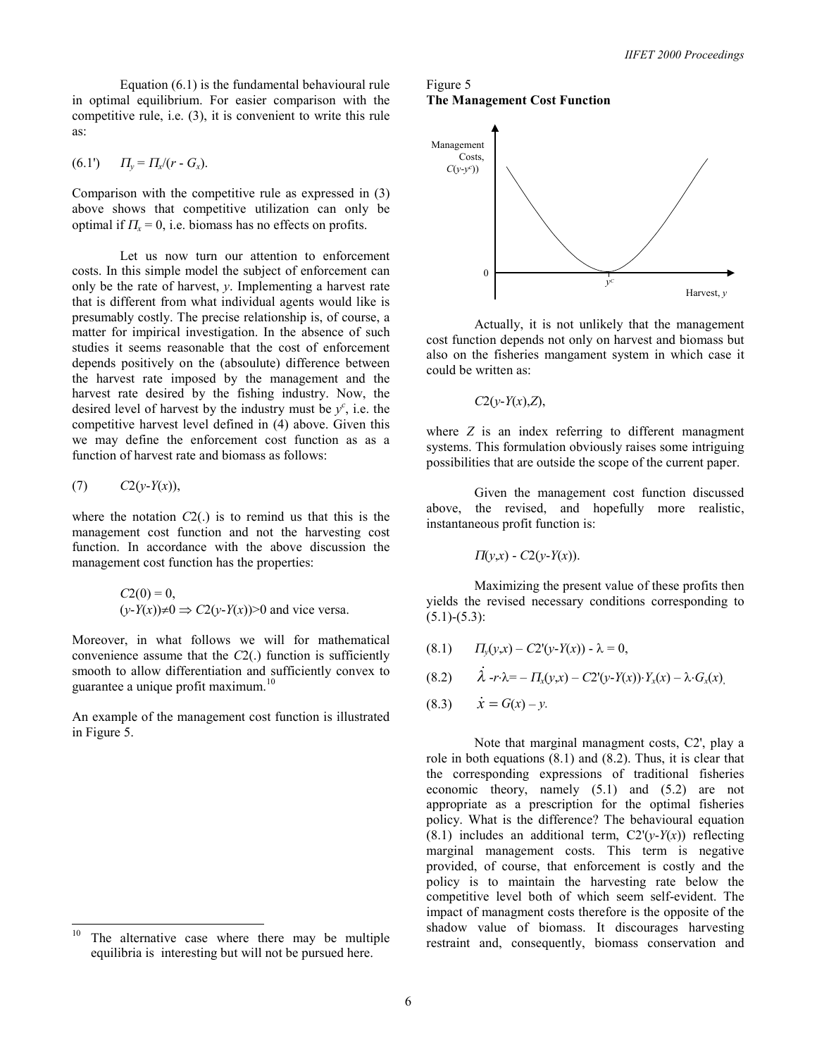Equation (6.1) is the fundamental behavioural rule in optimal equilibrium. For easier comparison with the competitive rule, i.e. (3), it is convenient to write this rule as:

(6.1') <sup>Π</sup>*y* = <sup>Π</sup>*x*/(*r* - *Gx*).

Comparison with the competitive rule as expressed in (3) above shows that competitive utilization can only be optimal if  $\Pi$ <sub>x</sub> = 0, i.e. biomass has no effects on profits.

 Let us now turn our attention to enforcement costs. In this simple model the subject of enforcement can only be the rate of harvest, *y*. Implementing a harvest rate that is different from what individual agents would like is presumably costly. The precise relationship is, of course, a matter for impirical investigation. In the absence of such studies it seems reasonable that the cost of enforcement depends positively on the (absoulute) difference between the harvest rate imposed by the management and the harvest rate desired by the fishing industry. Now, the desired level of harvest by the industry must be  $y^c$ , i.e. the competitive harvest level defined in (4) above. Given this we may define the enforcement cost function as as a function of harvest rate and biomass as follows:

$$
(7) \qquad C2(y-Y(x)),
$$

where the notation *C*2(.) is to remind us that this is the management cost function and not the harvesting cost function. In accordance with the above discussion the management cost function has the properties:

$$
C2(0) = 0,
$$
  
(y-Y(x)) $\neq 0 \Rightarrow C2(y-Y(x))>0$  and vice versa.

Moreover, in what follows we will for mathematical convenience assume that the *C*2(.) function is sufficiently smooth to allow differentiation and sufficiently convex to guarantee a unique profit maximum.<sup>10</sup>

An example of the management cost function is illustrated in Figure 5.

## Figure 5 **The Management Cost Function**



 Actually, it is not unlikely that the management cost function depends not only on harvest and biomass but also on the fisheries mangament system in which case it could be written as:

*C*2(*y*-*Y*(*x*),*Z*),

where *Z* is an index referring to different managment systems. This formulation obviously raises some intriguing possibilities that are outside the scope of the current paper.

 Given the management cost function discussed above, the revised, and hopefully more realistic, instantaneous profit function is:

$$
\Pi(y,x) - C2(y-Y(x)).
$$

Maximizing the present value of these profits then yields the revised necessary conditions corresponding to  $(5.1)$ - $(5.3)$ :

$$
(8.1) \t\t \t\t \Pi_{y}(y,x) - C2'(y-Y(x)) - \lambda = 0,
$$

$$
(8.2) \qquad \dot{\lambda} - r \cdot \lambda = - \Pi_x(y, x) - C2'(y - Y(x)) \cdot Y_x(x) - \lambda \cdot G_x(x),
$$

$$
(8.3) \qquad \dot{x} = G(x) - y.
$$

Note that marginal managment costs, C2', play a role in both equations (8.1) and (8.2). Thus, it is clear that the corresponding expressions of traditional fisheries economic theory, namely (5.1) and (5.2) are not appropriate as a prescription for the optimal fisheries policy. What is the difference? The behavioural equation (8.1) includes an additional term,  $C2'(y-Y(x))$  reflecting marginal management costs. This term is negative provided, of course, that enforcement is costly and the policy is to maintain the harvesting rate below the competitive level both of which seem self-evident. The impact of managment costs therefore is the opposite of the shadow value of biomass. It discourages harvesting restraint and, consequently, biomass conservation and

<sup>10</sup> The alternative case where there may be multiple equilibria is interesting but will not be pursued here.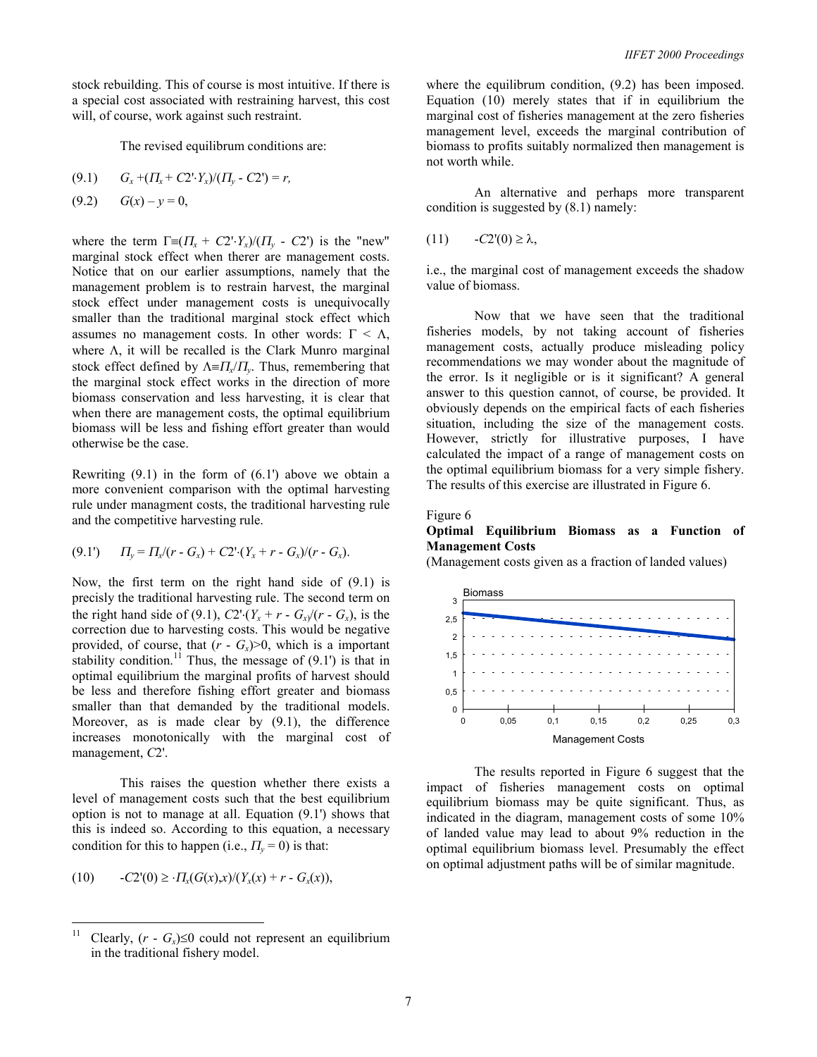stock rebuilding. This of course is most intuitive. If there is a special cost associated with restraining harvest, this cost will, of course, work against such restraint.

The revised equilibrum conditions are:

$$
(9.1) \tG_x + ( \Pi_x + C2 \cdot Y_x ) / ( \Pi_y - C2 ) = r,
$$

$$
(9.2) \tG(x) - y = 0,
$$

where the term  $\Gamma = (T_{x} + C2 \cdot Y_{x})/(T_{y} - C2)$  is the "new" marginal stock effect when therer are management costs. Notice that on our earlier assumptions, namely that the management problem is to restrain harvest, the marginal stock effect under management costs is unequivocally smaller than the traditional marginal stock effect which assumes no management costs. In other words:  $\Gamma < \Lambda$ , where  $\Lambda$ , it will be recalled is the Clark Munro marginal stock effect defined by Λ≡<sup>Π</sup>*x*/<sup>Π</sup>*y*. Thus, remembering that the marginal stock effect works in the direction of more biomass conservation and less harvesting, it is clear that when there are management costs, the optimal equilibrium biomass will be less and fishing effort greater than would otherwise be the case.

Rewriting  $(9.1)$  in the form of  $(6.1')$  above we obtain a more convenient comparison with the optimal harvesting rule under managment costs, the traditional harvesting rule and the competitive harvesting rule.

$$
(9.1') \t \Pi_y = \Pi_x/(r - G_x) + C2 \cdot (Y_x + r - G_x)/(r - G_x).
$$

Now, the first term on the right hand side of (9.1) is precisly the traditional harvesting rule. The second term on the right hand side of (9.1),  $C2 \cdot (Y_x + r - G_x)/(r - G_x)$ , is the correction due to harvesting costs. This would be negative provided, of course, that  $(r - G<sub>x</sub>) > 0$ , which is a important stability condition.<sup>11</sup> Thus, the message of  $(9.1')$  is that in optimal equilibrium the marginal profits of harvest should be less and therefore fishing effort greater and biomass smaller than that demanded by the traditional models. Moreover, as is made clear by (9.1), the difference increases monotonically with the marginal cost of management, *C*2'.

 This raises the question whether there exists a level of management costs such that the best equilibrium option is not to manage at all. Equation (9.1') shows that this is indeed so. According to this equation, a necessary condition for this to happen (i.e.,  $\Pi_{\nu} = 0$ ) is that:

$$
(10) \qquad -C2'(0) \geq \cdot \Pi_x(G(x),x) / (Y_x(x) + r - G_x(x)),
$$

where the equilibrum condition,  $(9.2)$  has been imposed. Equation (10) merely states that if in equilibrium the marginal cost of fisheries management at the zero fisheries management level, exceeds the marginal contribution of biomass to profits suitably normalized then management is not worth while.

 An alternative and perhaps more transparent condition is suggested by  $(8.1)$  namely:

$$
(11) \qquad -C2'(0) \ge \lambda,
$$

i.e., the marginal cost of management exceeds the shadow value of biomass.

 Now that we have seen that the traditional fisheries models, by not taking account of fisheries management costs, actually produce misleading policy recommendations we may wonder about the magnitude of the error. Is it negligible or is it significant? A general answer to this question cannot, of course, be provided. It obviously depends on the empirical facts of each fisheries situation, including the size of the management costs. However, strictly for illustrative purposes, I have calculated the impact of a range of management costs on the optimal equilibrium biomass for a very simple fishery. The results of this exercise are illustrated in Figure 6.

#### Figure 6

#### **Optimal Equilibrium Biomass as a Function of Management Costs**

(Management costs given as a fraction of landed values)



The results reported in Figure 6 suggest that the impact of fisheries management costs on optimal equilibrium biomass may be quite significant. Thus, as indicated in the diagram, management costs of some 10% of landed value may lead to about 9% reduction in the optimal equilibrium biomass level. Presumably the effect on optimal adjustment paths will be of similar magnitude.

 $11$ Clearly,  $(r - G_x) \leq 0$  could not represent an equilibrium in the traditional fishery model.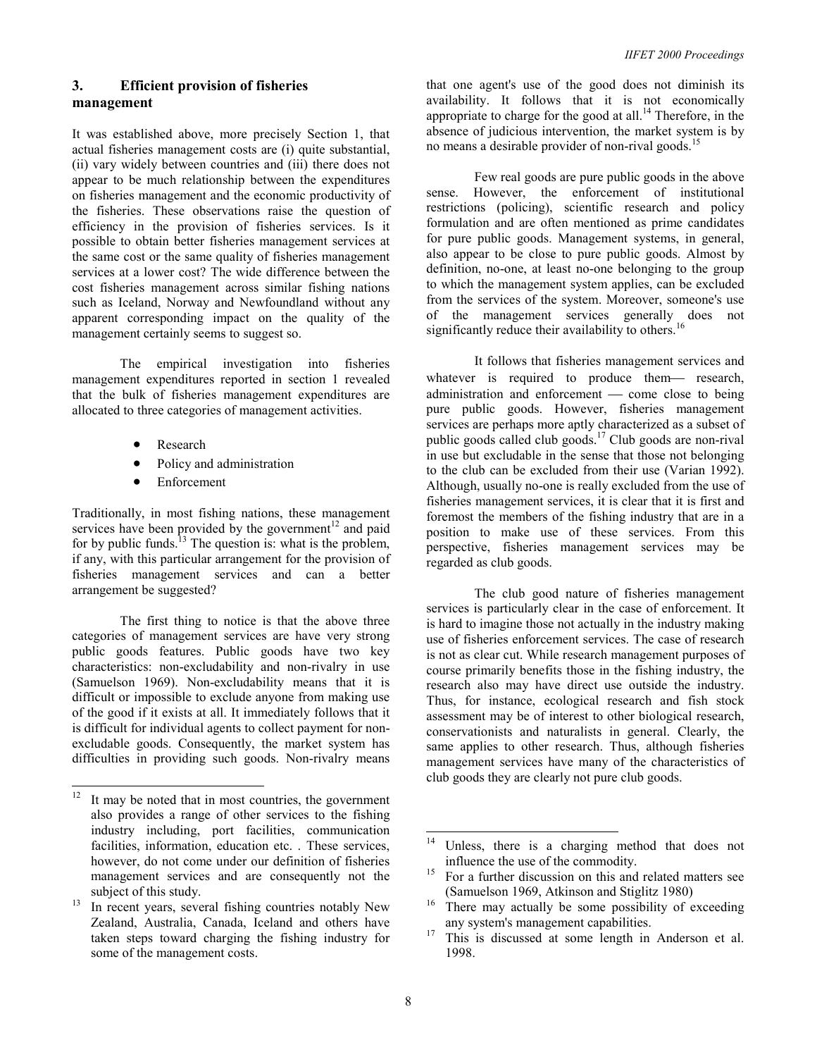## **3. Efficient provision of fisheries management**

It was established above, more precisely Section 1, that actual fisheries management costs are (i) quite substantial, (ii) vary widely between countries and (iii) there does not appear to be much relationship between the expenditures on fisheries management and the economic productivity of the fisheries. These observations raise the question of efficiency in the provision of fisheries services. Is it possible to obtain better fisheries management services at the same cost or the same quality of fisheries management services at a lower cost? The wide difference between the cost fisheries management across similar fishing nations such as Iceland, Norway and Newfoundland without any apparent corresponding impact on the quality of the management certainly seems to suggest so.

 The empirical investigation into fisheries management expenditures reported in section 1 revealed that the bulk of fisheries management expenditures are allocated to three categories of management activities.

- Research
- Policy and administration
- **Enforcement**

Traditionally, in most fishing nations, these management services have been provided by the government $12$  and paid for by public funds.<sup>13</sup> The question is: what is the problem, if any, with this particular arrangement for the provision of fisheries management services and can a better arrangement be suggested?

 The first thing to notice is that the above three categories of management services are have very strong public goods features. Public goods have two key characteristics: non-excludability and non-rivalry in use (Samuelson 1969). Non-excludability means that it is difficult or impossible to exclude anyone from making use of the good if it exists at all. It immediately follows that it is difficult for individual agents to collect payment for nonexcludable goods. Consequently, the market system has difficulties in providing such goods. Non-rivalry means

that one agent's use of the good does not diminish its availability. It follows that it is not economically appropriate to charge for the good at all.14 Therefore, in the absence of judicious intervention, the market system is by no means a desirable provider of non-rival goods.<sup>15</sup>

 Few real goods are pure public goods in the above sense. However, the enforcement of institutional restrictions (policing), scientific research and policy formulation and are often mentioned as prime candidates for pure public goods. Management systems, in general, also appear to be close to pure public goods. Almost by definition, no-one, at least no-one belonging to the group to which the management system applies, can be excluded from the services of the system. Moreover, someone's use of the management services generally does not significantly reduce their availability to others.<sup>16</sup>

It follows that fisheries management services and whatever is required to produce them— research, administration and enforcement — come close to being pure public goods. However, fisheries management services are perhaps more aptly characterized as a subset of public goods called club goods.17 Club goods are non-rival in use but excludable in the sense that those not belonging to the club can be excluded from their use (Varian 1992). Although, usually no-one is really excluded from the use of fisheries management services, it is clear that it is first and foremost the members of the fishing industry that are in a position to make use of these services. From this perspective, fisheries management services may be regarded as club goods.

The club good nature of fisheries management services is particularly clear in the case of enforcement. It is hard to imagine those not actually in the industry making use of fisheries enforcement services. The case of research is not as clear cut. While research management purposes of course primarily benefits those in the fishing industry, the research also may have direct use outside the industry. Thus, for instance, ecological research and fish stock assessment may be of interest to other biological research, conservationists and naturalists in general. Clearly, the same applies to other research. Thus, although fisheries management services have many of the characteristics of club goods they are clearly not pure club goods.

 $12\,$ It may be noted that in most countries, the government also provides a range of other services to the fishing industry including, port facilities, communication facilities, information, education etc. . These services, however, do not come under our definition of fisheries management services and are consequently not the subject of this study.<br><sup>13</sup> In recent years, several fishing countries notably New

Zealand, Australia, Canada, Iceland and others have taken steps toward charging the fishing industry for some of the management costs.

 $14$ Unless, there is a charging method that does not influence the use of the commodity.

 $\frac{15}{15}$  For a further discussion on this and related matters see

<sup>(</sup>Samuelson 1969, Atkinson and Stiglitz 1980) <sup>16</sup> There may actually be some possibility of exceeding any system's management capabilities. 17 This is discussed at some length in Anderson et al.

<sup>1998.</sup>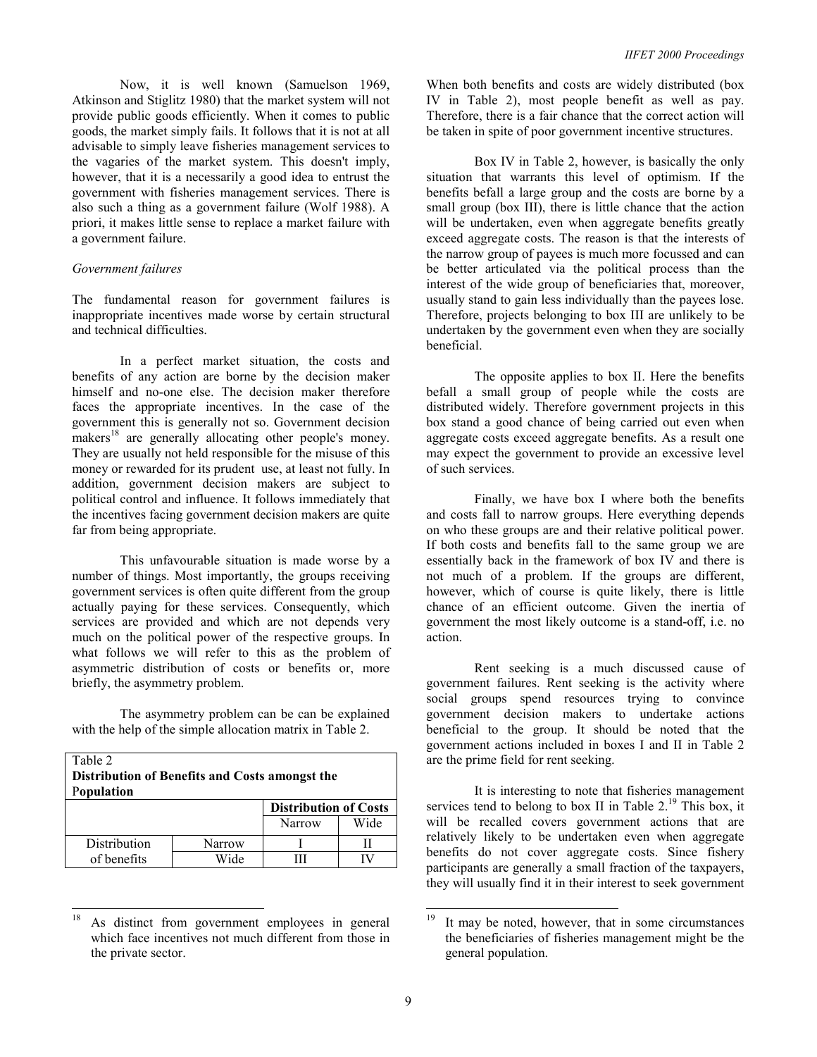Now, it is well known (Samuelson 1969, Atkinson and Stiglitz 1980) that the market system will not provide public goods efficiently. When it comes to public goods, the market simply fails. It follows that it is not at all advisable to simply leave fisheries management services to the vagaries of the market system. This doesn't imply, however, that it is a necessarily a good idea to entrust the government with fisheries management services. There is also such a thing as a government failure (Wolf 1988). A priori, it makes little sense to replace a market failure with a government failure.

## *Government failures*

The fundamental reason for government failures is inappropriate incentives made worse by certain structural and technical difficulties.

In a perfect market situation, the costs and benefits of any action are borne by the decision maker himself and no-one else. The decision maker therefore faces the appropriate incentives. In the case of the government this is generally not so. Government decision makers<sup>18</sup> are generally allocating other people's money. They are usually not held responsible for the misuse of this money or rewarded for its prudent use, at least not fully. In addition, government decision makers are subject to political control and influence. It follows immediately that the incentives facing government decision makers are quite far from being appropriate.

This unfavourable situation is made worse by a number of things. Most importantly, the groups receiving government services is often quite different from the group actually paying for these services. Consequently, which services are provided and which are not depends very much on the political power of the respective groups. In what follows we will refer to this as the problem of asymmetric distribution of costs or benefits or, more briefly, the asymmetry problem.

The asymmetry problem can be can be explained with the help of the simple allocation matrix in Table 2.

| Table 2<br>Distribution of Benefits and Costs amongst the<br><b>Population</b> |        |                              |      |  |  |
|--------------------------------------------------------------------------------|--------|------------------------------|------|--|--|
|                                                                                |        | <b>Distribution of Costs</b> |      |  |  |
|                                                                                |        | Narrow                       | Wide |  |  |
| Distribution                                                                   | Narrow |                              |      |  |  |
| of benefits                                                                    | Wide   | Ш                            |      |  |  |

 $\overline{a}$ As distinct from government employees in general which face incentives not much different from those in the private sector.

When both benefits and costs are widely distributed (box IV in Table 2), most people benefit as well as pay. Therefore, there is a fair chance that the correct action will be taken in spite of poor government incentive structures.

Box IV in Table 2, however, is basically the only situation that warrants this level of optimism. If the benefits befall a large group and the costs are borne by a small group (box III), there is little chance that the action will be undertaken, even when aggregate benefits greatly exceed aggregate costs. The reason is that the interests of the narrow group of payees is much more focussed and can be better articulated via the political process than the interest of the wide group of beneficiaries that, moreover, usually stand to gain less individually than the payees lose. Therefore, projects belonging to box III are unlikely to be undertaken by the government even when they are socially beneficial.

The opposite applies to box II. Here the benefits befall a small group of people while the costs are distributed widely. Therefore government projects in this box stand a good chance of being carried out even when aggregate costs exceed aggregate benefits. As a result one may expect the government to provide an excessive level of such services.

Finally, we have box I where both the benefits and costs fall to narrow groups. Here everything depends on who these groups are and their relative political power. If both costs and benefits fall to the same group we are essentially back in the framework of box IV and there is not much of a problem. If the groups are different, however, which of course is quite likely, there is little chance of an efficient outcome. Given the inertia of government the most likely outcome is a stand-off, i.e. no action.

Rent seeking is a much discussed cause of government failures. Rent seeking is the activity where social groups spend resources trying to convince government decision makers to undertake actions beneficial to the group. It should be noted that the government actions included in boxes I and II in Table 2 are the prime field for rent seeking.

 It is interesting to note that fisheries management services tend to belong to box II in Table  $2.^{19}$  This box, it will be recalled covers government actions that are relatively likely to be undertaken even when aggregate benefits do not cover aggregate costs. Since fishery participants are generally a small fraction of the taxpayers, they will usually find it in their interest to seek government

<sup>19</sup> It may be noted, however, that in some circumstances the beneficiaries of fisheries management might be the general population.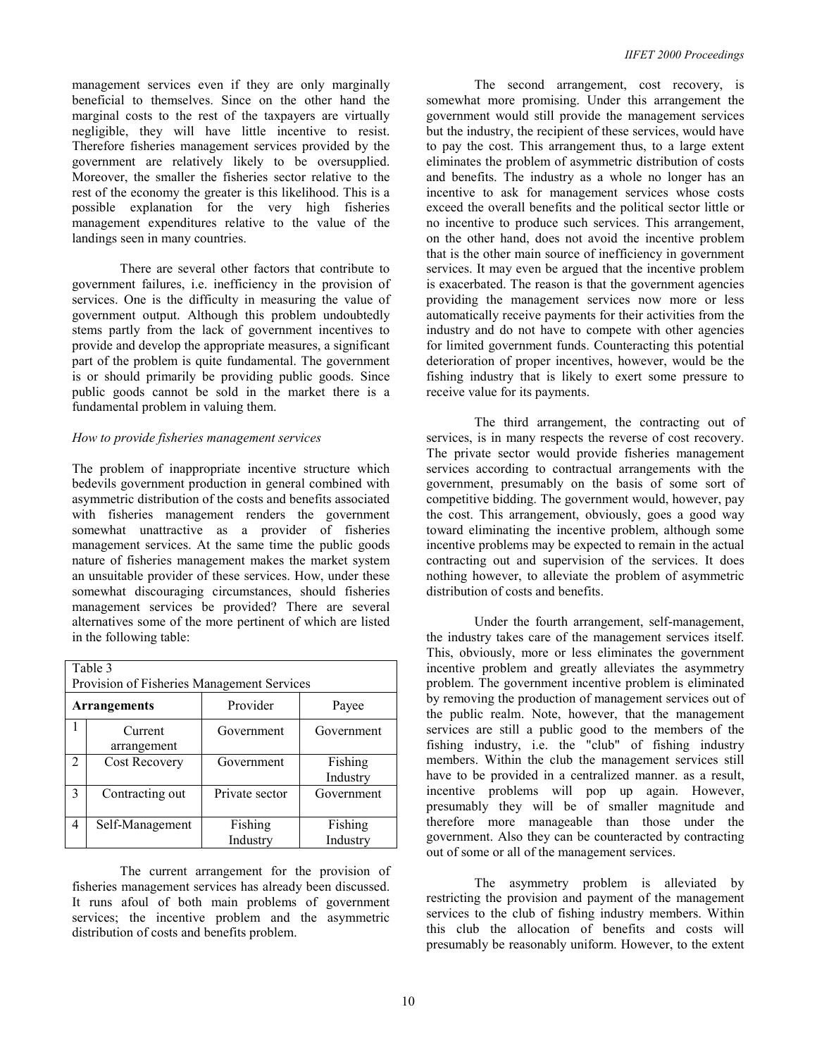management services even if they are only marginally beneficial to themselves. Since on the other hand the marginal costs to the rest of the taxpayers are virtually negligible, they will have little incentive to resist. Therefore fisheries management services provided by the government are relatively likely to be oversupplied. Moreover, the smaller the fisheries sector relative to the rest of the economy the greater is this likelihood. This is a possible explanation for the very high fisheries management expenditures relative to the value of the landings seen in many countries.

 There are several other factors that contribute to government failures, i.e. inefficiency in the provision of services. One is the difficulty in measuring the value of government output. Although this problem undoubtedly stems partly from the lack of government incentives to provide and develop the appropriate measures, a significant part of the problem is quite fundamental. The government is or should primarily be providing public goods. Since public goods cannot be sold in the market there is a fundamental problem in valuing them.

#### *How to provide fisheries management services*

The problem of inappropriate incentive structure which bedevils government production in general combined with asymmetric distribution of the costs and benefits associated with fisheries management renders the government somewhat unattractive as a provider of fisheries management services. At the same time the public goods nature of fisheries management makes the market system an unsuitable provider of these services. How, under these somewhat discouraging circumstances, should fisheries management services be provided? There are several alternatives some of the more pertinent of which are listed in the following table:

| Table 3<br>Provision of Fisheries Management Services |                        |                     |                     |  |  |
|-------------------------------------------------------|------------------------|---------------------|---------------------|--|--|
| <b>Arrangements</b>                                   |                        | Provider            | Payee               |  |  |
|                                                       | Current<br>arrangement | Government          | Government          |  |  |
| $\overline{2}$                                        | <b>Cost Recovery</b>   | Government          | Fishing<br>Industry |  |  |
| 3                                                     | Contracting out        | Private sector      | Government          |  |  |
| 4                                                     | Self-Management        | Fishing<br>Industry | Fishing<br>Industry |  |  |

The current arrangement for the provision of fisheries management services has already been discussed. It runs afoul of both main problems of government services; the incentive problem and the asymmetric distribution of costs and benefits problem.

The second arrangement, cost recovery, is somewhat more promising. Under this arrangement the government would still provide the management services but the industry, the recipient of these services, would have to pay the cost. This arrangement thus, to a large extent eliminates the problem of asymmetric distribution of costs and benefits. The industry as a whole no longer has an incentive to ask for management services whose costs exceed the overall benefits and the political sector little or no incentive to produce such services. This arrangement, on the other hand, does not avoid the incentive problem that is the other main source of inefficiency in government services. It may even be argued that the incentive problem is exacerbated. The reason is that the government agencies providing the management services now more or less automatically receive payments for their activities from the industry and do not have to compete with other agencies for limited government funds. Counteracting this potential deterioration of proper incentives, however, would be the fishing industry that is likely to exert some pressure to receive value for its payments.

The third arrangement, the contracting out of services, is in many respects the reverse of cost recovery. The private sector would provide fisheries management services according to contractual arrangements with the government, presumably on the basis of some sort of competitive bidding. The government would, however, pay the cost. This arrangement, obviously, goes a good way toward eliminating the incentive problem, although some incentive problems may be expected to remain in the actual contracting out and supervision of the services. It does nothing however, to alleviate the problem of asymmetric distribution of costs and benefits.

Under the fourth arrangement, self-management, the industry takes care of the management services itself. This, obviously, more or less eliminates the government incentive problem and greatly alleviates the asymmetry problem. The government incentive problem is eliminated by removing the production of management services out of the public realm. Note, however, that the management services are still a public good to the members of the fishing industry, i.e. the "club" of fishing industry members. Within the club the management services still have to be provided in a centralized manner. as a result, incentive problems will pop up again. However, presumably they will be of smaller magnitude and therefore more manageable than those under the government. Also they can be counteracted by contracting out of some or all of the management services.

The asymmetry problem is alleviated by restricting the provision and payment of the management services to the club of fishing industry members. Within this club the allocation of benefits and costs will presumably be reasonably uniform. However, to the extent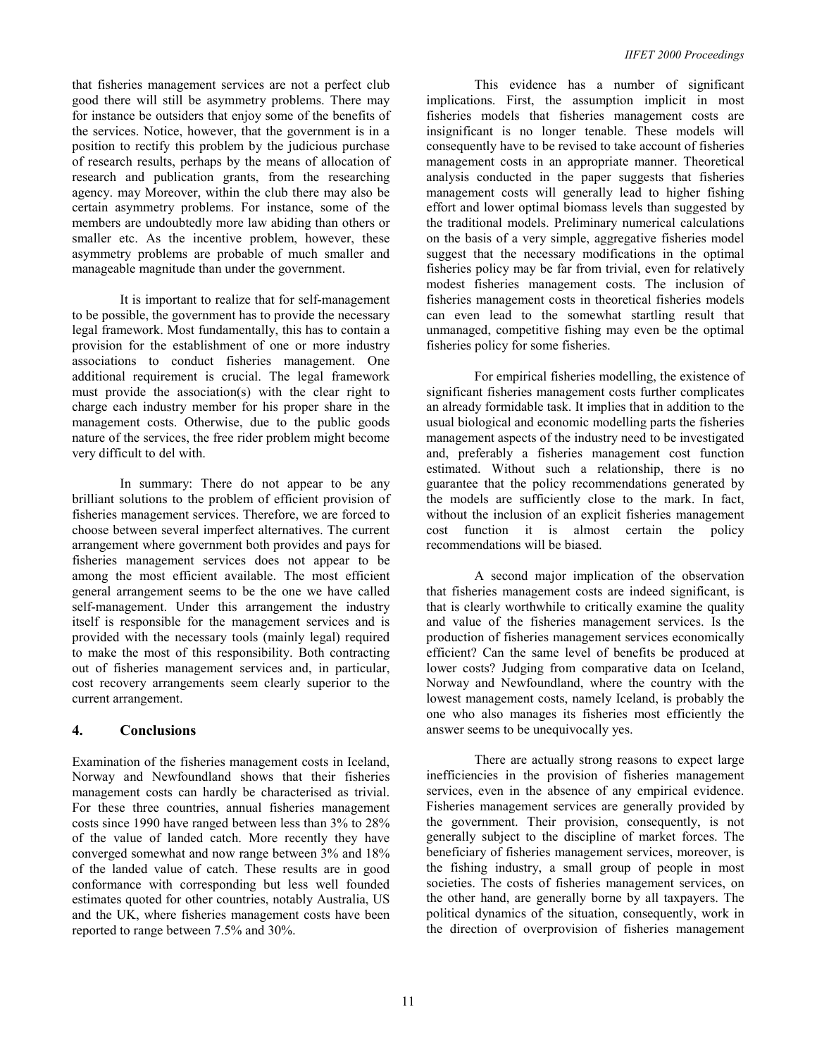that fisheries management services are not a perfect club good there will still be asymmetry problems. There may for instance be outsiders that enjoy some of the benefits of the services. Notice, however, that the government is in a position to rectify this problem by the judicious purchase of research results, perhaps by the means of allocation of research and publication grants, from the researching agency. may Moreover, within the club there may also be certain asymmetry problems. For instance, some of the members are undoubtedly more law abiding than others or smaller etc. As the incentive problem, however, these asymmetry problems are probable of much smaller and manageable magnitude than under the government.

It is important to realize that for self-management to be possible, the government has to provide the necessary legal framework. Most fundamentally, this has to contain a provision for the establishment of one or more industry associations to conduct fisheries management. One additional requirement is crucial. The legal framework must provide the association(s) with the clear right to charge each industry member for his proper share in the management costs. Otherwise, due to the public goods nature of the services, the free rider problem might become very difficult to del with.

In summary: There do not appear to be any brilliant solutions to the problem of efficient provision of fisheries management services. Therefore, we are forced to choose between several imperfect alternatives. The current arrangement where government both provides and pays for fisheries management services does not appear to be among the most efficient available. The most efficient general arrangement seems to be the one we have called self-management. Under this arrangement the industry itself is responsible for the management services and is provided with the necessary tools (mainly legal) required to make the most of this responsibility. Both contracting out of fisheries management services and, in particular, cost recovery arrangements seem clearly superior to the current arrangement.

## **4. Conclusions**

Examination of the fisheries management costs in Iceland, Norway and Newfoundland shows that their fisheries management costs can hardly be characterised as trivial. For these three countries, annual fisheries management costs since 1990 have ranged between less than 3% to 28% of the value of landed catch. More recently they have converged somewhat and now range between 3% and 18% of the landed value of catch. These results are in good conformance with corresponding but less well founded estimates quoted for other countries, notably Australia, US and the UK, where fisheries management costs have been reported to range between 7.5% and 30%.

 This evidence has a number of significant implications. First, the assumption implicit in most fisheries models that fisheries management costs are insignificant is no longer tenable. These models will consequently have to be revised to take account of fisheries management costs in an appropriate manner. Theoretical analysis conducted in the paper suggests that fisheries management costs will generally lead to higher fishing effort and lower optimal biomass levels than suggested by the traditional models. Preliminary numerical calculations on the basis of a very simple, aggregative fisheries model suggest that the necessary modifications in the optimal fisheries policy may be far from trivial, even for relatively modest fisheries management costs. The inclusion of fisheries management costs in theoretical fisheries models can even lead to the somewhat startling result that unmanaged, competitive fishing may even be the optimal fisheries policy for some fisheries.

 For empirical fisheries modelling, the existence of significant fisheries management costs further complicates an already formidable task. It implies that in addition to the usual biological and economic modelling parts the fisheries management aspects of the industry need to be investigated and, preferably a fisheries management cost function estimated. Without such a relationship, there is no guarantee that the policy recommendations generated by the models are sufficiently close to the mark. In fact, without the inclusion of an explicit fisheries management cost function it is almost certain the policy recommendations will be biased.

A second major implication of the observation that fisheries management costs are indeed significant, is that is clearly worthwhile to critically examine the quality and value of the fisheries management services. Is the production of fisheries management services economically efficient? Can the same level of benefits be produced at lower costs? Judging from comparative data on Iceland, Norway and Newfoundland, where the country with the lowest management costs, namely Iceland, is probably the one who also manages its fisheries most efficiently the answer seems to be unequivocally yes.

 There are actually strong reasons to expect large inefficiencies in the provision of fisheries management services, even in the absence of any empirical evidence. Fisheries management services are generally provided by the government. Their provision, consequently, is not generally subject to the discipline of market forces. The beneficiary of fisheries management services, moreover, is the fishing industry, a small group of people in most societies. The costs of fisheries management services, on the other hand, are generally borne by all taxpayers. The political dynamics of the situation, consequently, work in the direction of overprovision of fisheries management